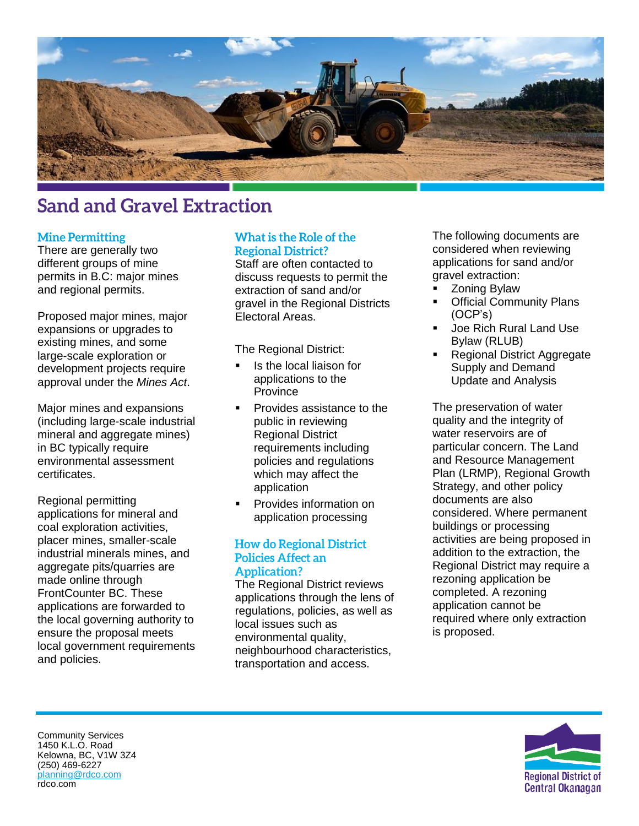

# **Sand and Gravel Extraction**

#### **Mine Permitting**

There are generally two different groups of mine permits in B.C: major mines and regional permits.

Proposed major mines, major expansions or upgrades to existing mines, and some large-scale exploration or development projects require approval under the *Mines Act*.

Major mines and expansions (including large-scale industrial mineral and aggregate mines) in BC typically require environmental assessment certificates.

Regional permitting applications for mineral and coal exploration activities, placer mines, smaller-scale industrial minerals mines, and aggregate pits/quarries are made online through FrontCounter BC. These applications are forwarded to the local governing authority to ensure the proposal meets local government requirements and policies.

## What is the Role of the **Regional District?**

Staff are often contacted to discuss requests to permit the extraction of sand and/or gravel in the Regional Districts Electoral Areas.

The Regional District:

- Is the local liaison for applications to the **Province**
- Provides assistance to the public in reviewing Regional District requirements including policies and regulations which may affect the application
- Provides information on application processing

#### **How do Regional District Policies Affect an Application?**

The Regional District reviews applications through the lens of regulations, policies, as well as local issues such as environmental quality, neighbourhood characteristics, transportation and access.

The following documents are considered when reviewing applications for sand and/or gravel extraction:

- Zoning Bylaw
- **Official Community Plans** (OCP's)
- Joe Rich Rural Land Use Bylaw (RLUB)
- Regional District Aggregate Supply and Demand Update and Analysis

The preservation of water quality and the integrity of water reservoirs are of particular concern. The Land and Resource Management Plan (LRMP), Regional Growth Strategy, and other policy documents are also considered. Where permanent buildings or processing activities are being proposed in addition to the extraction, the Regional District may require a rezoning application be completed. A rezoning application cannot be required where only extraction is proposed.



Community Services 1450 K.L.O. Road Kelowna, BC, V1W 3Z4 (250) 469-6227 [planning@rdco.com](mailto:planning@rdco.com) rdco.com